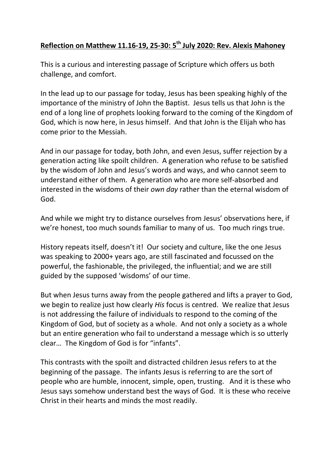## **Reflection on Matthew 11.16-19, 25-30: 5th July 2020: Rev. Alexis Mahoney**

This is a curious and interesting passage of Scripture which offers us both challenge, and comfort.

In the lead up to our passage for today, Jesus has been speaking highly of the importance of the ministry of John the Baptist. Jesus tells us that John is the end of a long line of prophets looking forward to the coming of the Kingdom of God, which is now here, in Jesus himself. And that John is the Elijah who has come prior to the Messiah.

And in our passage for today, both John, and even Jesus, suffer rejection by a generation acting like spoilt children. A generation who refuse to be satisfied by the wisdom of John and Jesus's words and ways, and who cannot seem to understand either of them. A generation who are more self-absorbed and interested in the wisdoms of their *own day* rather than the eternal wisdom of God.

And while we might try to distance ourselves from Jesus' observations here, if we're honest, too much sounds familiar to many of us. Too much rings true.

History repeats itself, doesn't it! Our society and culture, like the one Jesus was speaking to 2000+ years ago, are still fascinated and focussed on the powerful, the fashionable, the privileged, the influential; and we are still guided by the supposed 'wisdoms' of our time.

But when Jesus turns away from the people gathered and lifts a prayer to God, we begin to realize just how clearly *His* focus is centred. We realize that Jesus is not addressing the failure of individuals to respond to the coming of the Kingdom of God, but of society as a whole. And not only a society as a whole but an entire generation who fail to understand a message which is so utterly clear… The Kingdom of God is for "infants".

This contrasts with the spoilt and distracted children Jesus refers to at the beginning of the passage. The infants Jesus is referring to are the sort of people who are humble, innocent, simple, open, trusting. And it is these who Jesus says somehow understand best the ways of God. It is these who receive Christ in their hearts and minds the most readily.